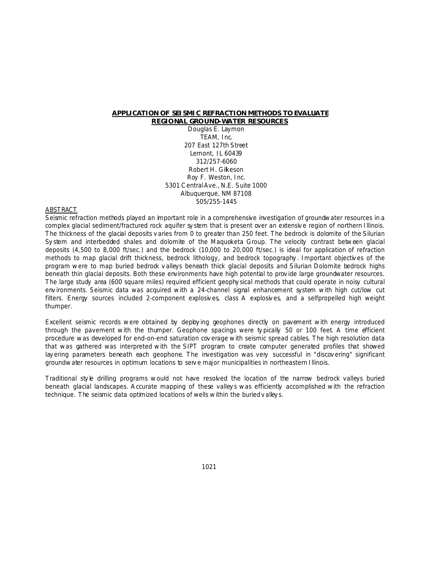# **APPLICATION OF SEISMIC REFRACTION METHODS TO EVALUATE REGIONAL GROUND-WATER RESOURCES**

Douglas E. Laymon TEAM, Inc. 207 East 127th Street Lemont, IL 60439 312/257-6060 Robert H. Gilkeson Roy F. Weston, Inc. 5301 C entral Ave., N.E. Suite 1000 Albuquerque, NM 87108 505/255-1445

### ABSTRACT

Seismic refraction methods played an important role in a comprehensive investigation of groundwater resources in a complex glacial sediment/fractured rock aquifer sy stem that is present over an extensive region of northern Illinois. The thickness of the glacial deposits v aries from 0 to greater than 250 feet. The bedrock is dolomite of the Silurian Sy stem and interbedded shales and dolomite of the Maquoketa Group. The velocity contrast between glacial deposits (4,500 to 8,000 ft/sec.) and the bedrock (10,000 to 20,000 ft/sec.) is ideal for application of refraction methods to map glacial drift thickness, bedrock lithology, and bedrock topography . Important objectiv es of the program were to map buried bedrock v alleys beneath thick glacial deposits and Silurian Dolomite bedrock highs beneath thin glacial deposits. Both these environments have high potential to prov ide large groundwater resources. The large study area (600 square miles) required efficient geophy sical methods that could operate in noisy cultural env ironments. Seismic data was acquired with a 24-channel signal enhancement system with high cut/low cut filters. Energy sources included 2-component explosiv es, class A explosiv es, and a selfpropelled high weight thumper.

Excellent seismic records were obtained by deploying geophones directly on pavement with energy introduced through the pavement with the thumper. Geophone spacings were ty pically 50 or 100 feet. A time efficient procedure was developed for end-on-end saturation cov erage with seismic spread cables. The high resolution data that was gathered was interpreted with the SIPT program to create computer generated profiles that showed lay ering parameters beneath each geophone. The investigation was very successful in "discov ering" significant groundwater resources in optimum locations to serv e major municipalities in northeastern Illinois.

Traditional style drilling programs would not have resolved the location of the narrow bedrock valleys buried beneath glacial landscapes. A ccurate mapping of these valleys was efficiently accomplished with the refraction technique. The seismic data optimized locations of wells within the buried v alley s.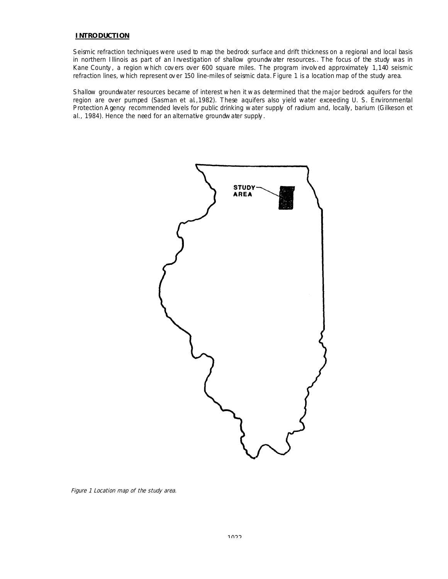# **INTRODUCTION**

Seismic refraction techniques were used to map the bedrock surface and drift thickness on a regional and local basis in northern Illinois as part of an Investigation of shallow groundwater resources.. The focus of the study was in Kane County , a region which cov ers over 600 square miles. The program involv ed approximately 1,140 seismic refraction lines, which represent ov er 150 line-miles of seismic data. Figure 1 is a location map of the study area.

Shallow groundwater resources became of interest when it was determined that the major bedrock aquifers for the region are over pumped (Sasman et al.,1982). These aquifers also yield water exceeding U. S. Environmental Protection A gency recommended levels for public drinking water supply of radium and, locally, barium (Gilkeson et al., 1984). Hence the need for an alternative groundwater supply .



Figure 1 Location map of the study area.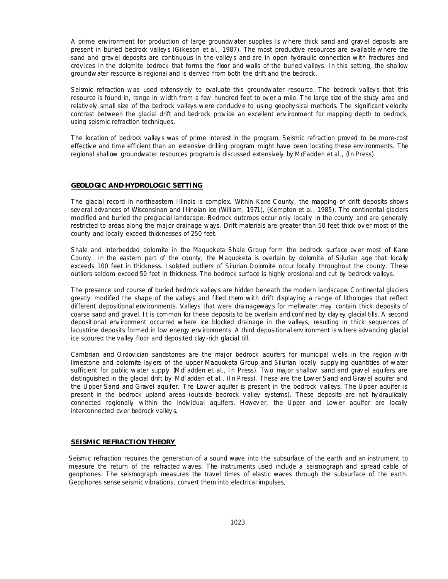A prime env ironment for production of large groundwater supplies Is where thick sand and grav el deposits are present in buried bedrock valleys (Gilkeson et al., 1987). The most productive resources are available where the sand and grav el deposits are continuous in the valley s and are in open hydraulic connection with fractures and crev ices In the dolomite bedrock that forms the floor and walls of the buried v alleys. In this setting, the shallow groundwater resource is regional and is derived from both the drift and the bedrock.

Seismic refraction was used extensively to evaluate this groundwater resource. The bedrock valleys that this resource is found in, range in width from a few hundred feet to ov er a mile. The large size of the study area and relativ ely small size of the bedrock valleys were conduciv e to using geophy sical methods. The significant v elocity contrast between the glacial drift and bedrock prov ide an excellent env ironment for mapping depth to bedrock, using seismic refraction techniques.

The location of bedrock valley s was of prime interest in the program. Seismic refraction prov ed to be more-cost effectiv e and time efficient than an extensive drilling program might have been locating these env ironments. The regional shallow groundwater resources program is discussed extensively by McFadden et al., (In Press).

#### **GEOLOGIC AND HYDROLOGIC SETTING**

The glacial record in northeastern Illinois is complex. Within Kane C ounty, the mapping of drift deposits shows sev eral advances of Wisconsinan and Illinoian ice (William, 1971), (Kempton et al., 1985). The continental glaciers modified and buried the preglacial landscape. Bedrock outcrops occur only locally in the county and are generally restricted to areas along the major drainage ways. Drift materials are greater than 50 feet thick ov er most of the county and locally exceed thicknesses of 250 feet.

Shale and interbedded dolomite in the Maquoketa Shale Group form the bedrock surface over most of Kane County . In the eastern part of the county, the Maquoketa is overlain by dolomite of Silurian age that locally exceeds 100 feet in thickness. Isolated outliers of Silurian Dolomite occur locally throughout the county. These outliers seldom exceed 50 feet in thickness. The bedrock surface is highly erosional and cut by bedrock valleys.

The presence and course of buried bedrock valley s are hidden beneath the modern landscape. C ontinental glaciers greatly modified the shape of the valleys and filled them with drift display ing a range of lithologies that reflect different depositional env ironments. Valleys that were drainageway s for meltwater may contain thick deposits of coarse sand and gravel. It is common for these deposits to be overlain and confined by clay ey glacial tills. A second depositional env ironment occurred where ice blocked drainage in the valleys, resulting in thick sequences of lacustrine deposits formed in low energy env ironments. A third depositional env ironment is where advancing glacial ice scoured the valley floor and deposited clay -rich glacial till.

Cambrian and O rdovician sandstones are the major bedrock aquifers for municipal wells in the region with limestone and dolomite lay ers of the upper Maquoketa Group and Silurian locally supply ing quantities of water sufficient for public water supply McFadden et al., In Press). Two major shallow sand and gravel aquifers are distinguished in the glacial drift by McFadden et al., (In Press). These are the Lower Sand and Gravel aquifer and the Upper Sand and Gravel aquifer. The Lower aquifer is present in the bedrock v alleys. The Upper aquifer is present in the bedrock upland areas (outside bedrock v alley systems). These deposits are not hy draulically connected regionally within the indiv idual aquifers. Howev er, the Upper and Lower aquifer are locally interconnected ov er bedrock valley s.

#### **SEISMIC REFRACTION THEORY**

Seismic refraction requires the generation of a sound wave into the subsurface of the earth and an instrument to measure the return of the refracted waves. The instruments used include a seismograph and spread cable of geophones. The seismograph measures the travel times of elastic waves through the subsurface of the earth. Geophones sense seismic vibrations, convert them into electrical impulses,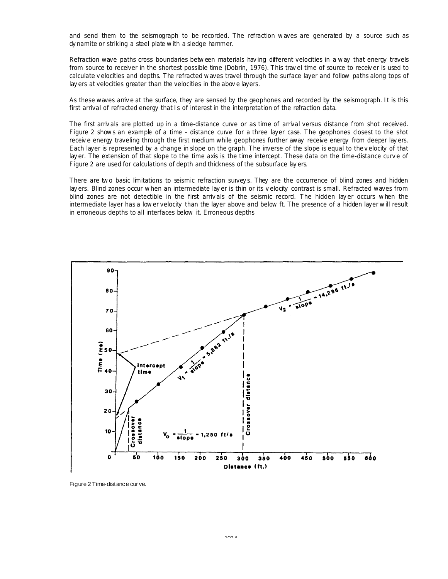and send them to the seismograph to be recorded. The refraction waves are generated by a source such as dy namite or striking a steel plate with a sledge hammer.

Refraction wave paths cross boundaries between materials hav ing different velocities in a way that energy travels from source to receiver in the shortest possible time (Dobrin, 1976). This trav el time of source to receiv er is used to calculate v elocities and depths. The refracted waves travel through the surface layer and follow paths along tops of lay ers at velocities greater than the velocities in the abov e layers.

As these waves arriv e at the surface, they are sensed by the geophones and recorded by the seismograph. It is this first arrival of refracted energy that Is of interest in the interpretation of the refraction data.

The first arriv als are plotted up in a time-distance curve or as time of arrival versus distance from shot received. Figure 2 shows an example of a time - distance curve for a three layer case. The geophones closest to the shot receive energy traveling through the first medium while geophones further away receive energy from deeper layers. Each layer is represented by a change in slope on the graph. The inverse of the slope is equal to the v elocity of that lay er. The extension of that slope to the time axis is the time intercept. These data on the time-distance curv e of Figure 2 are used for calculations of depth and thickness of the subsurface lay ers.

There are two basic limitations to seismic refraction surveys. They are the occurrence of blind zones and hidden lay ers. Blind zones occur when an intermediate lay er is thin or its v elocity contrast is small. Refracted waves from blind zones are not detectible in the first arriv als of the seismic record. The hidden lay er occurs when the intermediate layer has a lower velocity than the layer above and below ft. The presence of a hidden layer will result in erroneous depths to all interfaces below it. Erroneous depths



Figure 2 Time-distance cur ve.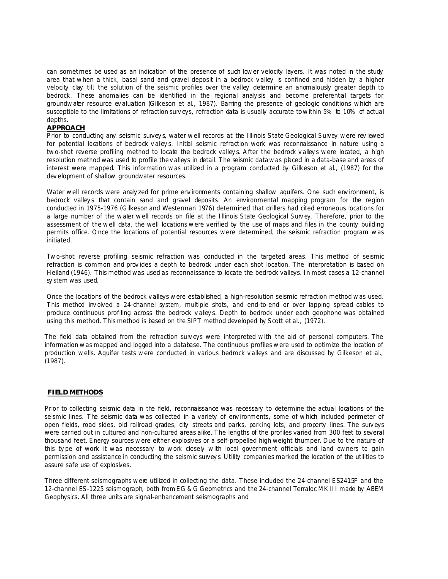can sometimes be used as an indication of the presence of such lower velocity layers. It was noted in the study area that when a thick, basal sand and gravel deposit in a bedrock v alley is confined and hidden by a higher velocity clay till, the solution of the seismic profiles over the valley determine an anomalously greater depth to bedrock. These anomalies can be identified in the regional analy sis and become preferential targets for groundwater resource ev aluation (Gilkeson et al., 1987). Barring the presence of geologic conditions which are susceptible to the limitations of refraction surv eys, refraction data is usually accurate to within 5% to 10% of actual depths.

# **APPROACH**

Prior to conducting any seismic survey s, water well records at the Illinois State Geological Survey were rev iewed for potential locations of bedrock v alleys. Initial seismic refraction work was reconnaissance in nature using a two-shot reverse profiling method to locate the bedrock valley s. A fter the bedrock v alley s were located, a high resolution method was used to profile the v alleys in detail. The seismic data was placed in a data-base and areas of interest were mapped. This information was utilized in a program conducted by Gilkeson et al., (1987) for the dev elopment of shallow groundwater resources.

Water well records were analy zed for prime env ironments containing shallow aquifers. One such env ironment, is bedrock valleys that contain sand and gravel deposits. An environmental mapping program for the region conducted in 1975-1976 (Gilkeson and Westerman 1976) determined that drillers had cited erroneous locations for a large number of the water well records on file at the Illinois State Geological Surv ey. Therefore, prior to the assessment of the well data, the well locations were verified by the use of maps and files in the county building permits office. O nce the locations of potential resources were determined, the seismic refraction program was initiated.

Two-shot reverse profiling seismic refraction was conducted in the targeted areas. This method of seismic refraction is common and provides a depth to bedrock under each shot location. The interpretation is based on Heiland (1946). This method was used as reconnaissance to locate the bedrock valleys. In most cases a 12-channel sy stem was used.

Once the locations of the bedrock v alleys were established, a high-resolution seismic refraction method was used. This method inv olved a 24-channel system, multiple shots, and end-to-end or over lapping spread cables to produce continuous profiling across the bedrock v alley s. Depth to bedrock under each geophone was obtained using this method. This method is based on the SIPT method developed by Scott et al., (1972).

The field data obtained from the refraction surv eys were interpreted with the aid of personal computers. The information was mapped and logged into a database. The continuous profiles were used to optimize the location of production wells. Aquifer tests were conducted in various bedrock v alleys and are discussed by Gilkeson et al., (1987).

## **FIELD METHODS**

Prior to collecting seismic data in the field, reconnaissance was necessary to determine the actual locations of the seismic lines. The seismic data was collected in a variety of env ironments, some of which included perimeter of open fields, road sides, old railroad grades, city streets and parks, parking lots, and property lines. The surv eys were carried out in cultured and non-cultured areas alike. The lengths of the profiles varied from 300 feet to several thousand feet. Energy sources were either explosives or a self-propelled high weight thumper. Due to the nature of this type of work it was necessary to work closely with local government officials and land owners to gain permission and assistance in conducting the seismic survey s. Utility companies marked the location of the utilities to assure safe use of explosives.

Three different seismographs were utilized in collecting the data. These included the 24-channel ES2415F and the 12-channel ES-1225 seismograph, both from EG & G Geometrics and the 24-channel Terraloc MK III made by ABEM Geophysics. All three units are signal-enhancement seismographs and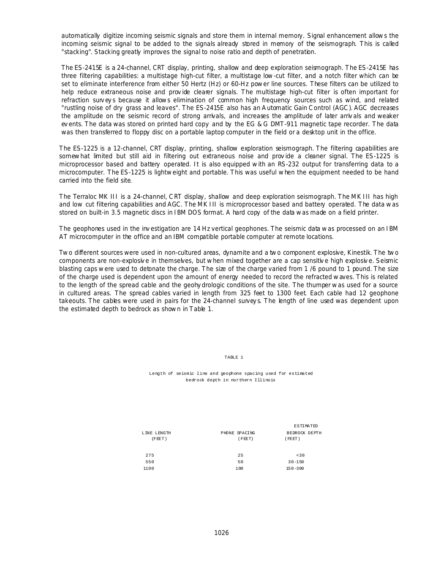automatically digitize incoming seismic signals and store them in internal memory. Signal enhancement allows the incoming seismic signal to be added to the signals already stored in memory of the seismograph. This is called "stacking". Stacking greatly improves the signal to noise ratio and depth of penetration.

The ES-2415E is a 24-channel, CRT display, printing, shallow and deep exploration seismograph. The ES-2415E has three filtering capabilities: a multistage high-cut filter, a multistage low-cut filter, and a notch filter which can be set to eliminate interference from either 50 Hertz (Hz) or 60-Hz power line sources. These filters can be utilized to help reduce extraneous noise and prov ide clearer signals. The multistage high-cut filter is often important for refraction surv ey s because it allows elimination of common high frequency sources such as wind, and related "rustling noise of dry grass and leaves". The ES-2415E also has an A utomatic Gain C ontrol (AGC ). AGC decreases the amplitude on the seismic record of strong arrivals, and increases the amplitude of later arriv als and weaker ev ents. The data was stored on printed hard copy and by the EG & G DMT-911 magnetic tape recorder. The data was then transferred to floppy disc on a portable laptop computer in the field or a desktop unit in the office.

The ES-1225 is a 12-channel, CRT display, printing, shallow exploration seismograph. The filtering capabilities are somewhat limited but still aid in filtering out extraneous noise and prov ide a cleaner signal. The ES-1225 is microprocessor based and battery operated. It is also equipped with an RS-232 output for transferring data to a microcomputer. The ES-1225 is lightweight and portable. This was useful when the equipment needed to be hand carried into the field site.

The Terraloc MK III is a 24-channel, C RT display, shallow and deep exploration seismograph. The MK III has high and low cut filtering capabilities and AGC. The MK III is microprocessor based and battery operated. The data was stored on built-in 3.5 magnetic discs in IBM DOS format. A hard copy of the data was made on a field printer.

The geophones used in the inv estigation are 14 Hz vertical geophones. The seismic data was processed on an IBM AT microcomputer in the office and an IBM compatible portable computer at remote locations.

Two different sources were used in non-cultured areas, dynamite and a two component explosive, Kinestik. The two components are non-explosiv e in themselves, but when mixed together are a cap sensitiv e high explosiv e. Seismic blasting caps were used to detonate the charge. The size of the charge varied from 1 /6 pound to 1 pound. The size of the charge used is dependent upon the amount of energy needed to record the refracted waves. This is related to the length of the spread cable and the geohy drologic conditions of the site. The thumper was used for a source in cultured areas. The spread cables varied in length from 325 feet to 1300 feet. Each cable had 12 geophone takeouts. The cables were used in pairs for the 24-channel survey s. The length of line used was dependent upon the estimated depth to bedrock as shown in Table 1.

TABLE 1

Length of seismic line and geophone spacing used for estimated bedrock depth in northern Illinois

|                       |                         | ESTIMATED              |
|-----------------------|-------------------------|------------------------|
| LINE LENGTH<br>(FEET) | PHONE SPACING<br>(FEET) | BEDROCK DEPTH<br>FEET) |
| 275                   | 25                      | < 30                   |
| 550                   | 50                      | $30 - 150$             |
| 1100                  | 100                     | $150 - 300$            |
|                       |                         |                        |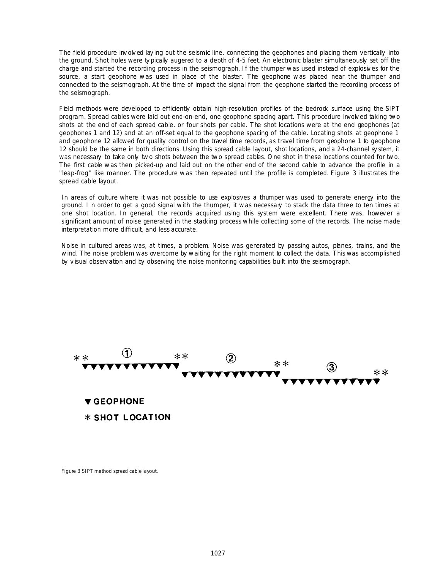The field procedure inv olved laying out the seismic line, connecting the geophones and placing them vertically into the ground. Shot holes were ty pically augered to a depth of 4-5 feet. An electronic blaster simultaneously set off the charge and started the recording process in the seismograph. If the thumper was used instead of explosiv es for the source, a start geophone was used in place of the blaster. The geophone was placed near the thumper and connected to the seismograph. At the time of impact the signal from the geophone started the recording process of the seismograph.

Field methods were developed to efficiently obtain high-resolution profiles of the bedrock surface using the SIPT program. Spread cables were laid out end-on-end, one geophone spacing apart. This procedure involv ed taking two shots at the end of each spread cable, or four shots per cable. The shot locations were at the end geophones (at geophones 1 and 12) and at an off-set equal to the geophone spacing of the cable. Locating shots at geophone 1 and geophone 12 allowed for quality control on the travel time records, as travel time from geophone 1 to geophone 12 should be the same in both directions. Using this spread cable layout, shot locations, and a 24-channel sy stem, it was necessary to take only two shots between the two spread cables. One shot in these locations counted for two. The first cable was then picked-up and laid out on the other end of the second cable to advance the profile in a "leap-frog" like manner. The procedure was then repeated until the profile is completed. Figure 3 illustrates the spread cable layout.

In areas of culture where it was not possible to use explosives a thumper was used to generate energy into the ground. I n order to get a good signal with the thumper, it was necessary to stack the data three to ten times at one shot location. In general, the records acquired using this system were excellent. There was, however a significant amount of noise generated in the stacking process while collecting some of the records. The noise made interpretation more difficult, and less accurate.

Noise in cultured areas was, at times, a problem. Noise was generated by passing autos, planes, trains, and the wind. The noise problem was overcome by waiting for the right moment to collect the data. This was accomplished by v isual observ ation and by observing the noise monitoring capabilities built into the seismograph.



Figure 3 SIPT method spread cable layout.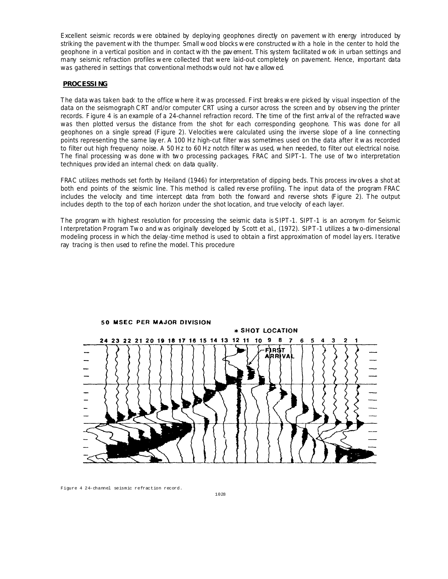Excellent seismic records were obtained by deploying geophones directly on pavement with energy introduced by striking the pavement with the thumper. Small wood blocks were constructed with a hole in the center to hold the geophone in a vertical position and in contact with the pav ement. This system facilitated work in urban settings and many seismic refraction profiles were collected that were laid-out completely on pavement. Hence, important data was gathered in settings that conventional methods would not hav e allowed.

## **PROCESSING**

The data was taken back to the office where it was processed. First breaks were picked by visual inspection of the data on the seismograph C RT and/or computer CRT using a cursor across the screen and by observ ing the printer records. Figure 4 is an example of a 24-channel refraction record. The time of the first arriv al of the refracted wave was then plotted versus the distance from the shot for each corresponding geophone. This was done for all geophones on a single spread (Figure 2). Velocities were calculated using the inverse slope of a line connecting points representing the same lay er. A 100 Hz high-cut filter was sometimes used on the data after it was recorded to filter out high frequency noise. A 50 Hz to 60 Hz notch filter was used, when needed, to filter out electrical noise. The final processing was done with two processing packages, FRAC and SIPT-1. The use of two interpretation techniques prov ided an internal check on data quality.

FRAC utilizes methods set forth by Heiland (1946) for interpretation of dipping beds. This process inv olves a shot at both end points of the seismic line. This method is called rev erse profiling. The input data of the program FRAC includes the velocity and time intercept data from both the forward and reverse shots (Figure 2). The output includes depth to the top of each horizon under the shot location, and true velocity of each layer.

The program with highest resolution for processing the seismic data is SIPT-1. SIPT-1 is an acronym for Seismic Interpretation Program Two and was originally developed by Scott et al., (1972). SIPT-1 utilizes a two-dimensional modeling process in which the delay -time method is used to obtain a first approximation of model lay ers. Iterative ray tracing is then used to refine the model. This procedure



Figure 4 24-channel seismic refraction record.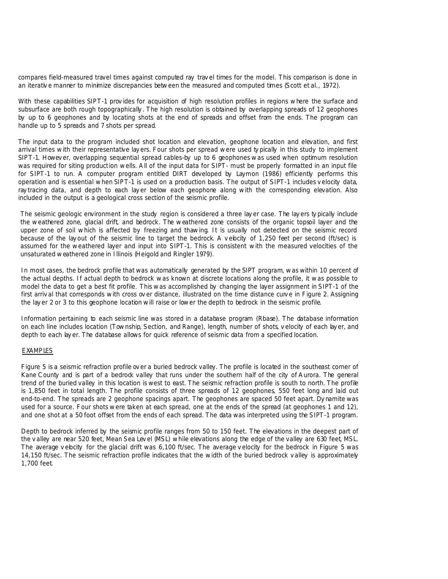compares field-measured travel times against computed ray trav el times for the model. This comparison is done in an iterativ e manner to minimize discrepancies between the measured and computed times (Scott et al., 1972).

With these capabilities SIPT-1 provides for acquisition of high resolution profiles in regions where the surface and subsurface are both rough topographically . The high resolution is obtained by overlapping spreads of 12 geophones by up to 6 geophones and by locating shots at the end of spreads and offset from the ends. The program can handle up to 5 spreads and 7 shots per spread.

The input data to the program included shot location and elevation, geophone location and elevation, and first arrival times with their representative lay ers. Four shots per spread were used ty pically in this study to implement SIPT-1. Howev er, overlapping sequential spread cables-by up to 6 geophones was used when optimum resolution was required for siting production wells. A ll of the input data for SIPT- must be properly formatted in an input file for SIPT-1 to run. A computer program entitled DIRT developed by Laymon (1986) efficiently performs this operation and is essential when SIPT-1 is used on a production basis. The output of SIPT-1 includes v elocity data, ray tracing data, and depth to each lay er below each geophone along with the corresponding elevation. Also included in the output is a geological cross section of the seismic profile.

The seismic geologic environment in the study region is considered a three lay er case. The lay ers ty pically include the weathered zone, glacial drift, and bedrock. The weathered zone consists of the organic topsoil layer and the upper zone of soil which is affected by freezing and thawing. It is usually not detected on the seismic record because of the lay out of the seismic line to target the bedrock. A v ebcity of 1,250 feet per second (ft/sec) is assumed for the weathered layer and input into SIPT-1. This is consistent with the measured velocities of the unsaturated weathered zone in Illinois (Heigold and Ringler 1979).

In most cases, the bedrock profile that was automatically generated by the SIPT program, was within 10 percent of the actual depths. If actual depth to bedrock was known at discrete locations along the profile, it was possible to model the data to get a best fit profile. This was accomplished by changing the layer assignment in SIPT-1 of the first arriv al that corresponds with cross ov er distance, illustrated on the time distance curve in Figure 2. Assigning the lay er 2 or 3 to this geophone location will raise or lower the depth to bedrock in the seismic profile.

Information pertaining to each seismic line was stored in a database program (Rbase). The database information on each line includes location (Township, Section, and Range), length, number of shots, v elocity of each lay er, and depth to each lay er. The database allows for quick reference of seismic data from a specified location.

## EXAMPLES

Figure 5 is a seismic refraction profile ov er a buried bedrock valley. The profile is located in the southeast corner of Kane C ounty and is part of a bedrock valley that runs under the southern half of the city of A urora. The general trend of the buried valley in this location is west to east. The seismic refraction profile is south to north. The profile is 1,850 feet in total length. The profile consists of three spreads of 12 geophones, 550 feet long and laid out end-to-end. The spreads are 2 geophone spacings apart. The geophones are spaced 50 feet apart. Dy namite was used for a source. Four shots were taken at each spread, one at the ends of the spread (at geophones 1 and 12), and one shot at a 50 foot offset from the ends of each spread. The data was interpreted using the SIPT-1 program.

Depth to bedrock inferred by the seismic profile ranges from 50 to 150 feet. The elevations in the deepest part of the v alley are near 520 feet, Mean Sea Lev el (MSL) while elevations along the edge of the valley are 630 feet, MSL. The average velocity for the glacial drift was 6,100 ft/sec. The average velocity for the bedrock in Figure 5 was 14,150 ft/sec. The seismic refraction profile indicates that the width of the buried bedrock v alley is approximately 1,700 feet.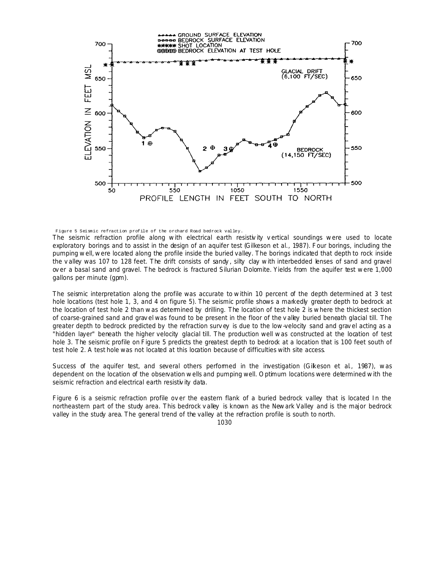

Figure 5 Seismic refraction profile of the orchard Road bedrock valley.

The seismic refraction profile along with electrical earth resistivity vertical soundings were used to locate exploratory borings and to assist in the design of an aquifer test (Gilkeson et al., 1987). Four borings, including the pumping well, were located along the profile inside the buried valley. The borings indicated that depth to rock inside the valley was 107 to 128 feet. The drift consists of sandy, silty clay with interbedded lenses of sand and gravel over a basal sand and gravel. The bedrock is fractured Silurian Dolomite. Yields from the aquifer test were 1,000 gallons per minute (gpm).

The seismic interpretation along the profile was accurate to within 10 percent of the depth determined at 3 test hole locations (test hole 1, 3, and 4 on figure 5). The seismic profile shows a markedly greater depth to bedrock at the location of test hole 2 than was determined by drilling. The location of test hole 2 is where the thickest section of coarse-grained sand and grav el was found to be present in the floor of the v alley buried beneath glacial till. The greater depth to bedrock predicted by the refraction surv ey is due to the low-velocity sand and grav el acting as a "hidden layer" beneath the higher velocity glacial till. The production well was constructed at the location of test hole 3. The seismic profile on Figure 5 predicts the greatest depth to bedrock at a location that is 100 feet south of test hole 2. A test hole was not located at this location because of difficulties with site access.

Success of the aquifer test, and several others performed in the investigation (Gikeson et al., 1987), was dependent on the location of the observation wells and pumping well. O ptimum locations were determined with the seismic refraction and electrical earth resistivity data.

Figure 6 is a seismic refraction profile ov er the eastern flank of a buried bedrock valley that is located In the northeastern part of the study area. This bedrock v alley is known as the Newark Valley and is the major bedrock valley in the study area. The general trend of the valley at the refraction profile is south to north.

1030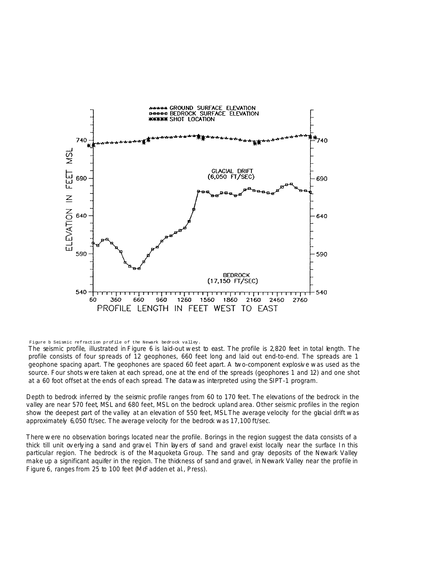

Figure b Seismic refraction profile of the Newark bedrock valley.

The seismic profile, illustrated in Figure 6 is laid-out west to east. The profile is 2,820 feet in total length. The profile consists of four spreads of 12 geophones, 660 feet long and laid out end-to-end. The spreads are 1 geophone spacing apart. The geophones are spaced 60 feet apart. A two-component explosiv e was used as the source. Four shots were taken at each spread, one at the end of the spreads (geophones 1 and 12) and one shot at a 60 foot offset at the ends of each spread. The data was interpreted using the SIPT-1 program.

Depth to bedrock inferred by the seismic profile ranges from 60 to 170 feet. The elevations of the bedrock in the valley are near 570 feet, MSL and 680 feet, MSL on the bedrock upland area. Other seismic profiles in the region show the deepest part of the valley at an elevation of 550 feet, MSL The average velocity for the glacial drift was approximately 6,050 ft/sec. The average velocity for the bedrock was 17,100 ft/sec.

There were no observation borings located near the profile. Borings in the region suggest the data consists of a thick till unit ov erly ing a sand and grav el. Thin lay ers of sand and gravel exist locally near the surface In this particular region. The bedrock is of the Maquoketa Group. The sand and gray deposits of the Newark Valley make up a significant aquifer in the region. The thickness of sand and gravel, in Newark Valley near the profile in Figure 6, ranges from 25 to 100 feet (McFadden et al., Press).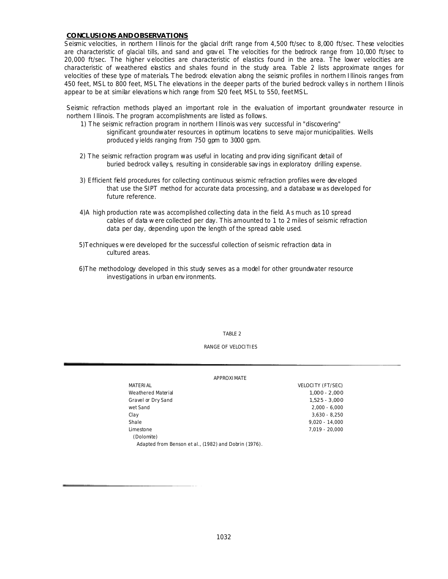# **CONCLUSIONS AND OBSERVATIONS**

Seismic velocities, in northern Illinois for the glacial drift range from 4,500 ft/sec to 8,000 ft/sec. These velocities are characteristic of glacial tills, and sand and grav el. The velocities for the bedrock range from 10,000 ft/sec to 20,000 ft/sec. The higher v elocities are characteristic of elastics found in the area. The lower velocities are characteristic of weathered elastics and shales found in the study area. Table 2 lists approximate ranges for velocities of these type of materials. The bedrock elevation along the seismic profiles in northern Illinois ranges from 450 feet, MSL to 800 feet, MSL The elevations in the deeper parts of the buried bedrock valley s in northern Illinois appear to be at similar elevations which range from 520 feet, MSL to 550, feet MSL.

Seismic refraction methods played an important role in the evaluation of important groundwater resource in northern Illinois. The program accomplishments are listed as follows.

- 1) The seismic refraction program in northern Illinois was very successful in "discovering" significant groundwater resources in optimum locations to serve major municipalities. Wells produced y ields ranging from 750 gpm to 3000 gpm.
- 2) The seismic refraction program was useful in locating and prov iding significant detail of buried bedrock valley s, resulting in considerable sav ings in exploratory drilling expense.
- 3) Efficient field procedures for collecting continuous seismic refraction profiles were dev eloped that use the SIPT method for accurate data processing, and a database was developed for future reference.
- 4)A high production rate was accomplished collecting data in the field. A s much as 10 spread cables of data were collected per day. This amounted to 1 to 2 miles of seismic refraction data per day, depending upon the length of the spread cable used.
- 5)Techniques were developed for the successful collection of seismic refraction data in cultured areas.
- 6)The methodology developed in this study serves as a model for other groundwater resource investigations in urban env ironments.

TABLE 2

#### RANGE OF VELOCITIES

#### APPROXIMATE

| <b>MATERIAL</b>                                       | VELOCITY (FT/SEC) |
|-------------------------------------------------------|-------------------|
| Weathered Material                                    | $1.000 - 2.000$   |
| Gravel or Dry Sand                                    | $1.525 - 3.000$   |
| wet Sand                                              | $2.000 - 6.000$   |
| Clay                                                  | $3.630 - 8.250$   |
| Shale                                                 | $9.020 - 14.000$  |
| Limestone                                             | 7.019 - 20.000    |
| (Dolomite)                                            |                   |
| Adapted from Benson et al., (1982) and Dobrin (1976). |                   |